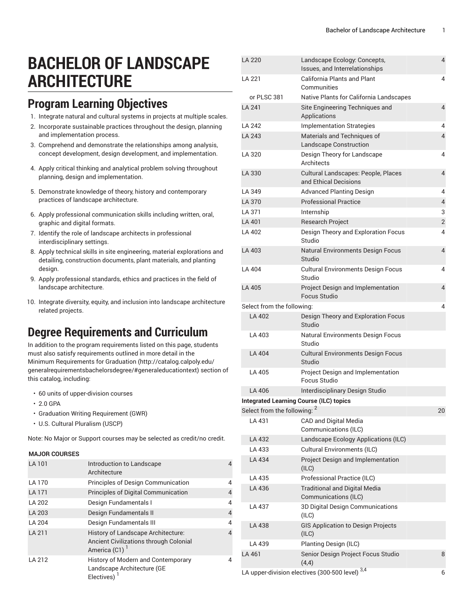LA 220 Landscape Ecology: Concepts,

# **BACHELOR OF LANDSCAPE ARCHITECTURE**

### **Program Learning Objectives**

- 1. Integrate natural and cultural systems in projects at multiple scales.
- 2. Incorporate sustainable practices throughout the design, planning and implementation process.
- 3. Comprehend and demonstrate the relationships among analysis, concept development, design development, and implementation.
- 4. Apply critical thinking and analytical problem solving throughout planning, design and implementation.
- 5. Demonstrate knowledge of theory, history and contemporary practices of landscape architecture.
- 6. Apply professional communication skills including written, oral, graphic and digital formats.
- 7. Identify the role of landscape architects in professional interdisciplinary settings.
- 8. Apply technical skills in site engineering, material explorations and detailing, construction documents, plant materials, and planting design.
- 9. Apply professional standards, ethics and practices in the field of landscape architecture.
- 10. Integrate diversity, equity, and inclusion into landscape architecture related projects.

### **Degree Requirements and Curriculum**

In addition to the program requirements listed on this page, students must also satisfy requirements outlined in more detail in the Minimum [Requirements](http://catalog.calpoly.edu/generalrequirementsbachelorsdegree/#generaleducationtext) for Graduation ([http://catalog.calpoly.edu/](http://catalog.calpoly.edu/generalrequirementsbachelorsdegree/#generaleducationtext) [generalrequirementsbachelorsdegree/#generaleducationtext\)](http://catalog.calpoly.edu/generalrequirementsbachelorsdegree/#generaleducationtext) section of this catalog, including:

- 60 units of upper-division courses
- 2.0 GPA
- Graduation Writing Requirement (GWR)
- U.S. Cultural Pluralism (USCP)

Note: No Major or Support courses may be selected as credit/no credit.

#### **MAJOR COURSES**

| LA 101       | Introduction to Landscape<br>Architecture                                                           |   |
|--------------|-----------------------------------------------------------------------------------------------------|---|
| LA 170       | Principles of Design Communication                                                                  | 4 |
| <b>LA171</b> | <b>Principles of Digital Communication</b>                                                          | 4 |
| LA 202       | Design Fundamentals I                                                                               | 4 |
| LA 203       | Design Fundamentals II                                                                              | 4 |
| LA 204       | Design Fundamentals III                                                                             | 4 |
| LA 211       | <b>History of Landscape Architecture:</b><br>Ancient Civilizations through Colonial<br>America (C1) | 4 |
| LA 212       | History of Modern and Contemporary<br>Landscape Architecture (GE<br>Electives)                      |   |

| <b>LA 220</b>                                        | Landscape Ecology: Concepts,<br>Issues, and Interrelationships | 4              |  |
|------------------------------------------------------|----------------------------------------------------------------|----------------|--|
| LA 221                                               | <b>California Plants and Plant</b>                             | 4              |  |
| or PLSC 381                                          | Communities<br>Native Plants for California Landscapes         |                |  |
| LA 241                                               | Site Engineering Techniques and<br>Applications                | 4              |  |
| LA 242                                               | <b>Implementation Strategies</b>                               | 4              |  |
| LA 243                                               | Materials and Techniques of<br><b>Landscape Construction</b>   | 4              |  |
| LA 320                                               | Design Theory for Landscape<br>Architects                      | 4              |  |
| LA 330                                               | Cultural Landscapes: People, Places<br>and Ethical Decisions   | 4              |  |
| LA 349                                               | <b>Advanced Planting Design</b>                                | 4              |  |
| LA 370                                               | <b>Professional Practice</b>                                   | 4              |  |
| LA 371                                               | Internship                                                     | 3              |  |
| LA 401                                               | <b>Research Project</b>                                        | $\overline{2}$ |  |
| LA 402                                               | Design Theory and Exploration Focus<br>Studio                  | 4              |  |
| LA 403                                               | <b>Natural Environments Design Focus</b><br>Studio             | 4              |  |
| LA 404                                               | <b>Cultural Environments Design Focus</b><br>Studio            | 4              |  |
| LA 405                                               | Project Design and Implementation<br>Focus Studio              | 4              |  |
| Select from the following:                           |                                                                | 4              |  |
| LA 402                                               | Design Theory and Exploration Focus<br>Studio                  |                |  |
| LA 403                                               | Natural Environments Design Focus<br>Studio                    |                |  |
| LA 404                                               | <b>Cultural Environments Design Focus</b><br>Studio            |                |  |
| I A 405                                              | Project Design and Implementation<br>Focus Studio              |                |  |
| LA 406                                               | Interdisciplinary Design Studio                                |                |  |
| <b>Integrated Learning Course (ILC) topics</b>       |                                                                |                |  |
| Select from the following: <sup>2</sup>              |                                                                | 20             |  |
| LA 431                                               | <b>CAD and Digital Media</b><br>Communications (ILC)           |                |  |
| LA 432                                               | Landscape Ecology Applications (ILC)                           |                |  |
| LA 433                                               | <b>Cultural Environments (ILC)</b>                             |                |  |
| LA 434                                               | Project Design and Implementation<br>(ILC)                     |                |  |
| LA 435                                               | Professional Practice (ILC)                                    |                |  |
| LA 436                                               | <b>Traditional and Digital Media</b><br>Communications (ILC)   |                |  |
| LA 437                                               | 3D Digital Design Communications<br>(ILC)                      |                |  |
| LA 438                                               | <b>GIS Application to Design Projects</b><br>(ILC)             |                |  |
| LA 439                                               | Planting Design (ILC)                                          |                |  |
| LA 461                                               | Senior Design Project Focus Studio<br>(4,4)                    | 8              |  |
| LA upper-division electives (300-500 level) 3,4<br>6 |                                                                |                |  |